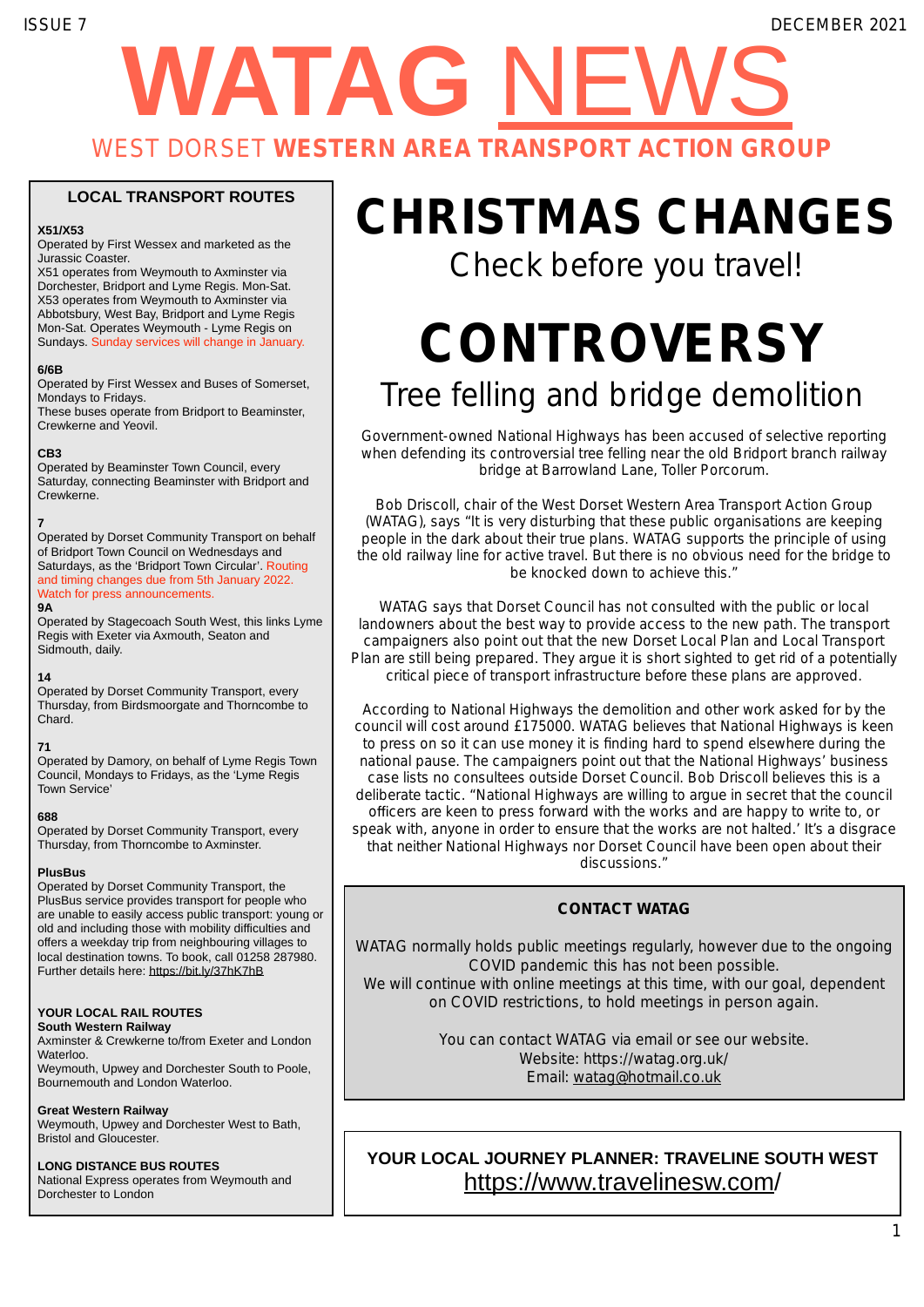# **WATAG** NEWS ISSUE 7 DECEMBER 2021 WEST DORSET **WESTERN AREA TRANSPORT ACTION GROUP**

## **LOCAL TRANSPORT ROUTES**

## **X51/X53**

Operated by First Wessex and marketed as the Jurassic Coaster.

X51 operates from Weymouth to Axminster via Dorchester, Bridport and Lyme Regis. Mon-Sat. X53 operates from Weymouth to Axminster via Abbotsbury, West Bay, Bridport and Lyme Regis Mon-Sat. Operates Weymouth - Lyme Regis on Sundays. Sunday services will change in January.

#### **6/6B**

Operated by First Wessex and Buses of Somerset, Mondays to Fridays.

These buses operate from Bridport to Beaminster, Crewkerne and Yeovil.

## **CB3**

Operated by Beaminster Town Council, every Saturday, connecting Beaminster with Bridport and Crewkerne.

## **7**

Operated by Dorset Community Transport on behalf of Bridport Town Council on Wednesdays and Saturdays, as the 'Bridport Town Circular'. Routing and timing changes due from 5th January 2022. Watch for press announcements.

#### **9A**

Operated by Stagecoach South West, this links Lyme Regis with Exeter via Axmouth, Seaton and Sidmouth, daily.

## **14**

Operated by Dorset Community Transport, every Thursday, from Birdsmoorgate and Thorncombe to Chard.

## **71**

Operated by Damory, on behalf of Lyme Regis Town Council, Mondays to Fridays, as the 'Lyme Regis Town Service'

## **688**

Operated by Dorset Community Transport, every Thursday, from Thorncombe to Axminster.

## **PlusBus**

Operated by Dorset Community Transport, the PlusBus service provides transport for people who are unable to easily access public transport: young or old and including those with mobility difficulties and offers a weekday trip from neighbouring villages to local destination towns. To book, call 01258 287980. Further details here: https://bit.ly/37hK7hB

## **YOUR LOCAL RAIL ROUTES**

**South Western Railway**

Axminster & Crewkerne to/from Exeter and London **Waterloo** Weymouth, Upwey and Dorchester South to Poole,

Bournemouth and London Waterloo.

## **Great Western Railway**

Weymouth, Upwey and Dorchester West to Bath, Bristol and Gloucester.

## **LONG DISTANCE BUS ROUTES**

National Express operates from Weymouth and Dorchester to London

# **CHRISTMAS CHANGES**

*Check before you travel!*

# **CONTROVERSY** *Tree felling and bridge demolition*

Government-owned National Highways has been accused of selective reporting when defending its controversial tree felling near the old Bridport branch railway bridge at Barrowland Lane, Toller Porcorum.

Bob Driscoll, chair of the West Dorset Western Area Transport Action Group (WATAG), says "It is very disturbing that these public organisations are keeping people in the dark about their true plans. WATAG supports the principle of using the old railway line for active travel. But there is no obvious need for the bridge to be knocked down to achieve this."

WATAG says that Dorset Council has not consulted with the public or local landowners about the best way to provide access to the new path. The transport campaigners also point out that the new Dorset Local Plan and Local Transport Plan are still being prepared. They argue it is short sighted to get rid of a potentially critical piece of transport infrastructure before these plans are approved.

According to National Highways the demolition and other work asked for by the council will cost around £175000. WATAG believes that National Highways is keen to press on so it can use money it is finding hard to spend elsewhere during the national pause. The campaigners point out that the National Highways' business case lists no consultees outside Dorset Council. Bob Driscoll believes this is a deliberate tactic. "National Highways are willing to argue in secret that the council officers are keen to press forward with the works and are happy to write to, or speak with, anyone in order to ensure that the works are not halted.' It's a disgrace that neither National Highways nor Dorset Council have been open about their discussions."

## **CONTACT WATAG**

WATAG normally holds public meetings regularly, however due to the ongoing COVID pandemic this has not been possible. We will continue with online meetings at this time, with our goal, dependent on COVID restrictions, to hold meetings in person again.

> You can contact WATAG via email or see our website. Website: https://watag.org.uk/ Email: watag@hotmail.co.uk

**YOUR LOCAL JOURNEY PLANNER: TRAVELINE SOUTH WEST**  https://www.travelinesw.com/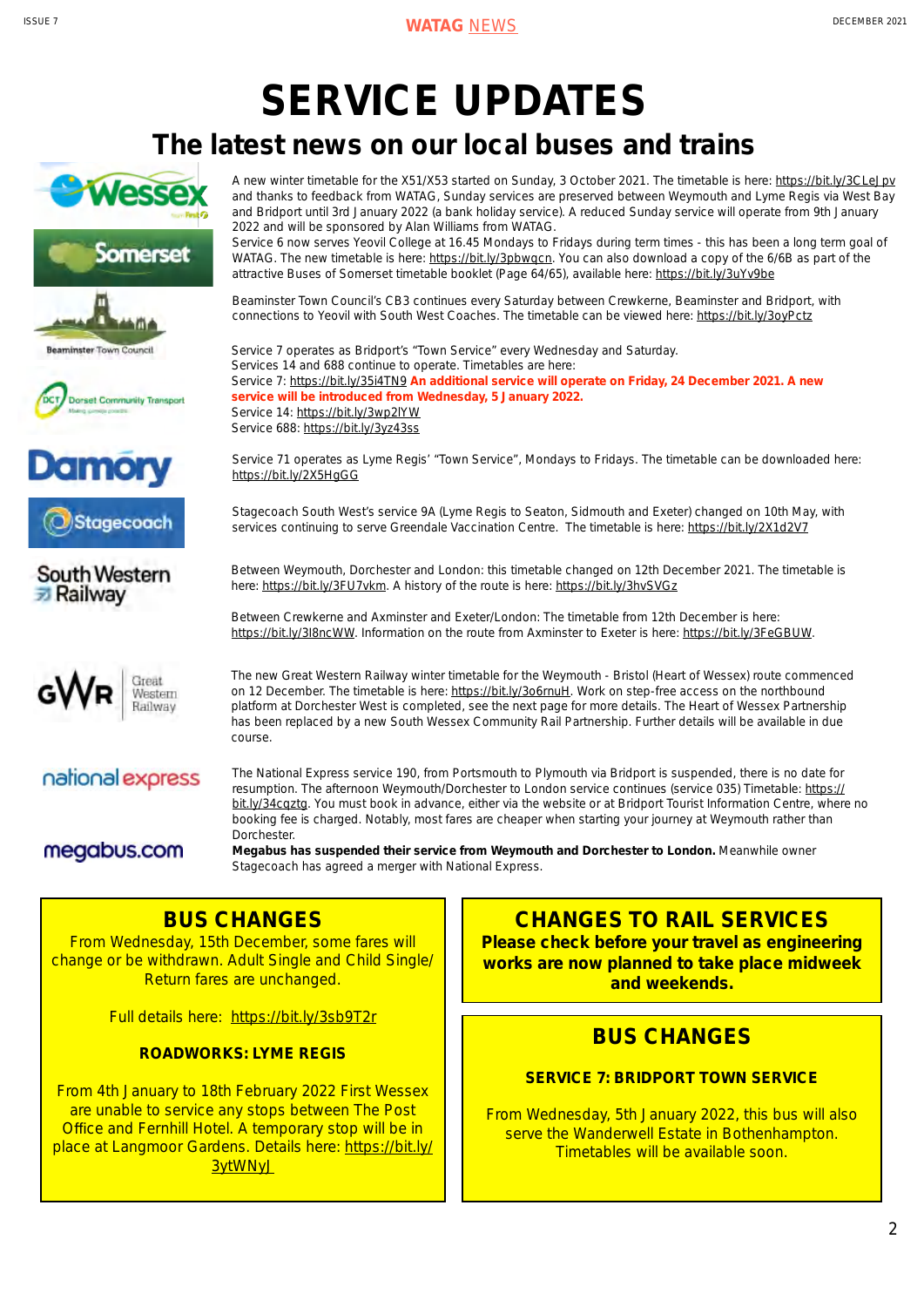# **SERVICE UPDATES**

# **The latest news on our local buses and trains**















A new winter timetable for the X51/X53 started on Sunday, 3 October 2021. The timetable is here: https://bit.ly/3CLeJpv and thanks to feedback from WATAG, Sunday services are preserved between Weymouth and Lyme Regis via West Bay and Bridport until 3rd January 2022 (a bank holiday service). A reduced Sunday service will operate from 9th January 2022 and will be sponsored by Alan Williams from WATAG.

Service 6 now serves Yeovil College at 16.45 Mondays to Fridays during term times - this has been a long term goal of WATAG. The new timetable is here: https://bit.ly/3pbwqcn. You can also download a copy of the 6/6B as part of the attractive Buses of Somerset timetable booklet (Page 64/65), available here: https://bit.ly/3uYv9be

Beaminster Town Council's CB3 continues every Saturday between Crewkerne, Beaminster and Bridport, with connections to Yeovil with South West Coaches. The timetable can be viewed here: https://bit.ly/3oyPctz

Service 7 operates as Bridport's "Town Service" every Wednesday and Saturday. Services 14 and 688 continue to operate. Timetables are here: Service 7: https://bit.ly/35i4TN9 **An additional service will operate on Friday, 24 December 2021. A new service will be introduced from Wednesday, 5 January 2022.** Service 14: https://bit.ly/3wp2lYW Service 688: https://bit.ly/3yz43ss

Service 71 operates as Lyme Regis' "Town Service", Mondays to Fridays. The timetable can be downloaded here: https://bit.ly/2X5HgGG

Stagecoach South West's service 9A (Lyme Regis to Seaton, Sidmouth and Exeter) changed on 10th May, with services continuing to serve Greendale Vaccination Centre. The timetable is here: https://bit.ly/2X1d2V7

Between Weymouth, Dorchester and London: this timetable changed on 12th December 2021. The timetable is here: https://bit.ly/3FU7vkm. A history of the route is here: https://bit.ly/3hvSVGz

Between Crewkerne and Axminster and Exeter/London: The timetable from 12th December is here: https://bit.ly/3I8ncWW. Information on the route from Axminster to Exeter is here: https://bit.ly/3FeGBUW.

The new Great Western Railway winter timetable for the Weymouth - Bristol (Heart of Wessex) route commenced on 12 December. The timetable is here: https://bit.ly/3o6rnuH. Work on step-free access on the northbound platform at Dorchester West is completed, see the next page for more details. The Heart of Wessex Partnership has been replaced by a new South Wessex Community Rail Partnership. Further details will be available in due course.

national express

megabus.com

The National Express service 190, from Portsmouth to Plymouth via Bridport is suspended, there is no date for resumption. The afternoon Weymouth/Dorchester to London service continues (service 035) Timetable: https:// bit.ly/34cqztg. You must book in advance, either via the website or at Bridport Tourist Information Centre, where no booking fee is charged. Notably, most fares are cheaper when starting your journey at Weymouth rather than Dorchester.

**Megabus has suspended their service from Weymouth and Dorchester to London.** Meanwhile owner Stagecoach has agreed a merger with National Express.

# **BUS CHANGES**

From Wednesday, 15th December, some fares will change or be withdrawn. Adult Single and Child Single/ Return fares are unchanged.

Full details here: https://bit.ly/3sb9T2r

**ROADWORKS: LYME REGIS**

From 4th January to 18th February 2022 First Wessex are unable to service any stops between The Post Office and Fernhill Hotel. A temporary stop will be in place at Langmoor Gardens. Details here: https://bit.ly/ 3ytWNyJ

# **CHANGES TO RAIL SERVICES**

**Please check before your travel as engineering works are now planned to take place midweek and weekends.**

# **BUS CHANGES**

# **SERVICE 7: BRIDPORT TOWN SERVICE**

From Wednesday, 5th January 2022, this bus will also serve the Wanderwell Estate in Bothenhampton. Timetables will be available soon.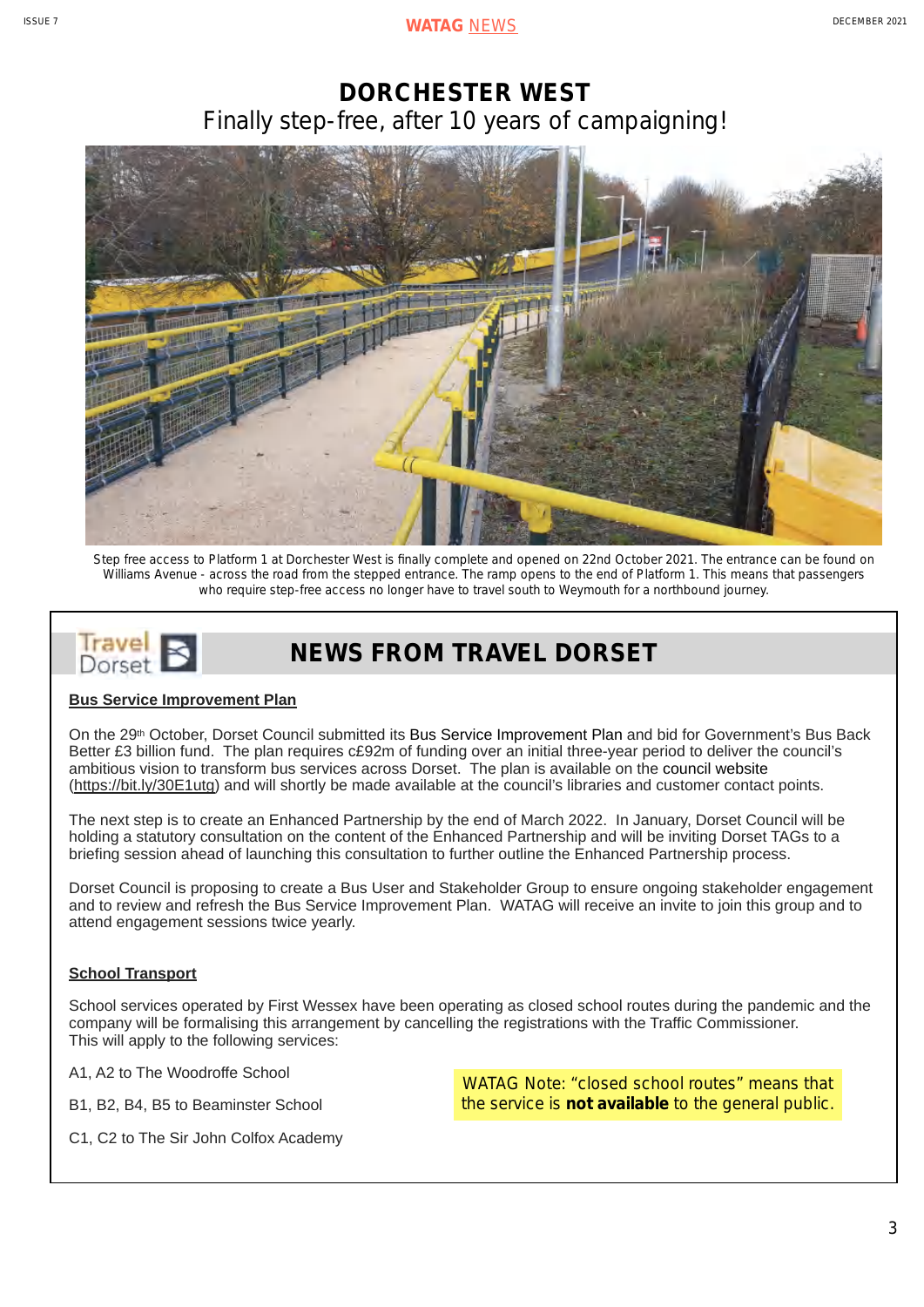# **DORCHESTER WEST** *Finally step-free, after 10 years of campaigning!*



Step free access to Platform 1 at Dorchester West is finally complete and opened on 22nd October 2021. The entrance can be found on Williams Avenue - across the road from the stepped entrance. The ramp opens to the end of Platform 1. This means that passengers who require step-free access no longer have to travel south to Weymouth for a northbound journey.

## Irave **NEWS FROM TRAVEL DORSET** Dorset

## **Bus Service Improvement Plan**

On the 29th October, Dorset Council submitted its Bus Service Improvement Plan and bid for Government's Bus Back Better £3 billion fund. The plan requires c£92m of funding over an initial three-year period to deliver the council's ambitious vision to transform bus services across Dorset. The plan is available on the council website (https://bit.ly/30E1utg) and will shortly be made available at the council's libraries and customer contact points.

The next step is to create an Enhanced Partnership by the end of March 2022. In January, Dorset Council will be holding a statutory consultation on the content of the Enhanced Partnership and will be inviting Dorset TAGs to a briefing session ahead of launching this consultation to further outline the Enhanced Partnership process.

Dorset Council is proposing to create a Bus User and Stakeholder Group to ensure ongoing stakeholder engagement and to review and refresh the Bus Service Improvement Plan. WATAG will receive an invite to join this group and to attend engagement sessions twice yearly.

## **School Transport**

School services operated by First Wessex have been operating as closed school routes during the pandemic and the company will be formalising this arrangement by cancelling the registrations with the Traffic Commissioner. This will apply to the following services:

A1, A2 to The Woodroffe School

B1, B2, B4, B5 to Beaminster School

C1, C2 to The Sir John Colfox Academy

WATAG Note: "closed school routes" means that the service is **not available** to the general public.